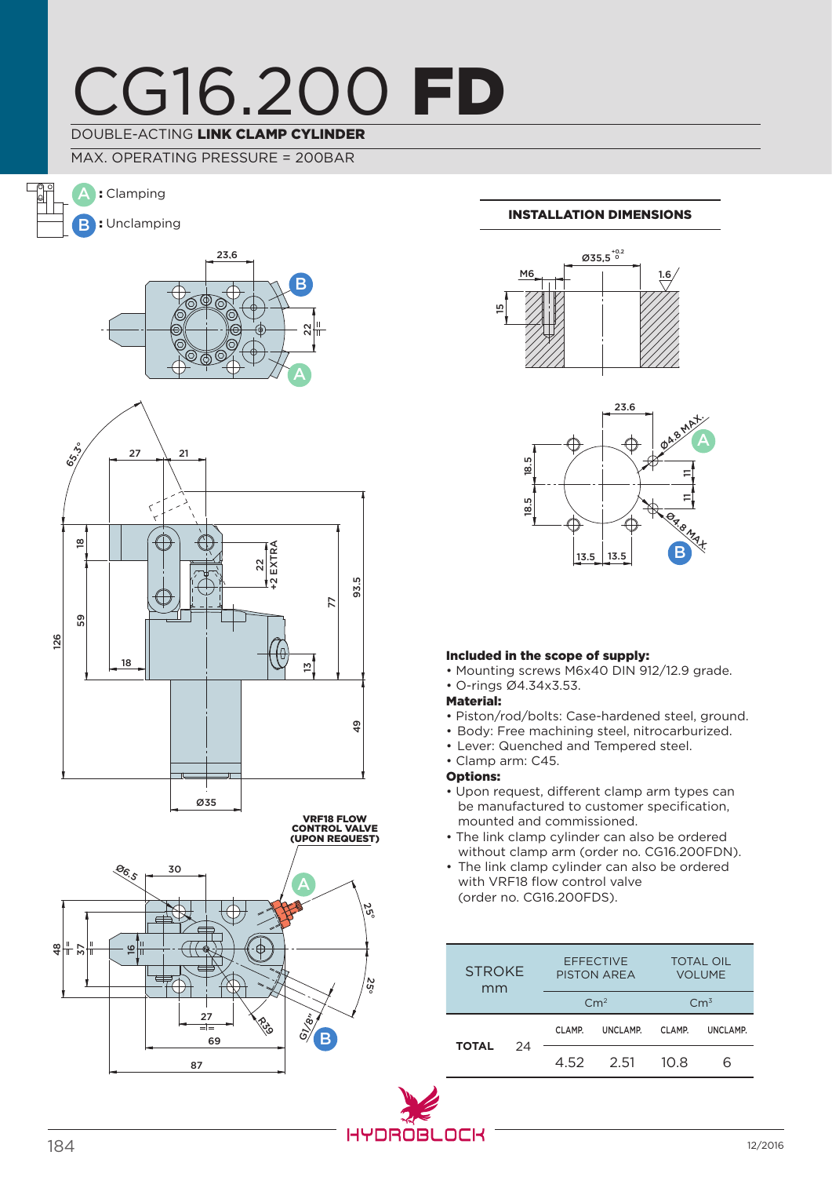## CG16.200 FD DOUBLE-ACTING LINK CLAMP CYLINDER

MAX. OPERATING PRESSURE = 200BAR









### Installation dimensions





### Included in the scope of supply:

- Mounting screws M6x40 DIN 912/12.9 grade.
- O-rings Ø4.34x3.53.
- Material:
- Piston/rod/bolts: Case-hardened steel, ground.
- Body: Free machining steel, nitrocarburized.
- Lever: Quenched and Tempered steel.
- Clamp arm: C45.
- Options:
- Upon request, different clamp arm types can be manufactured to customer specification, mounted and commissioned.
- The link clamp cylinder can also be ordered without clamp arm (order no. CG16.200FDN).
- The link clamp cylinder can also be ordered with VRF18 flow control valve (order no. CG16.200FDS).

| <b>STROKE</b><br>mm |    | <b>EFFECTIVE</b><br><b>PISTON AREA</b><br>Cm <sup>2</sup> |          | <b>TOTAL OIL</b><br><b>VOLUME</b><br>$\rm Cm^3$ |          |
|---------------------|----|-----------------------------------------------------------|----------|-------------------------------------------------|----------|
| <b>TOTAL</b>        | 24 | CLAMP.                                                    | UNCLAMP. | CLAMP.                                          | UNCLAMP. |
|                     |    | 4.52                                                      | 2.51     | 10 R                                            | ี        |